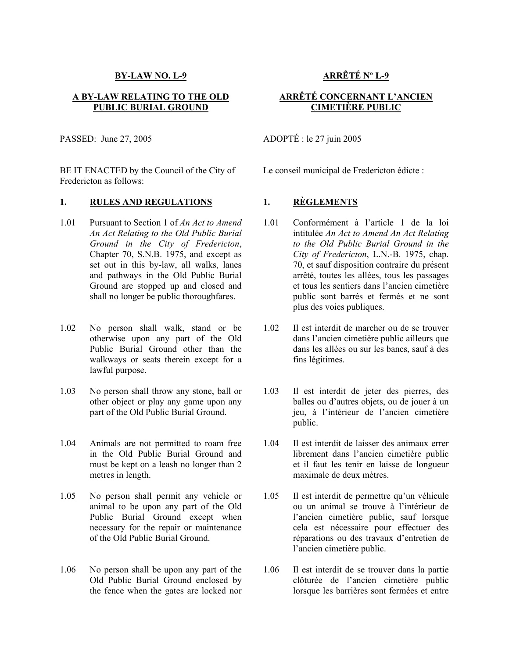### **BY-LAW NO. L-9**

## **A BY-LAW RELATING TO THE OLD PUBLIC BURIAL GROUND**

PASSED: June 27, 2005 ADOPTÉ : le 27 juin 2005

BE IT ENACTED by the Council of the City of Fredericton as follows:

## **1. RULES AND REGULATIONS 1. RÈGLEMENTS**

- 1.01 Pursuant to Section 1 of *An Act to Amend An Act Relating to the Old Public Burial Ground in the City of Fredericton*, Chapter 70, S.N.B. 1975, and except as set out in this by-law, all walks, lanes and pathways in the Old Public Burial Ground are stopped up and closed and shall no longer be public thoroughfares.
- 1.02 No person shall walk, stand or be otherwise upon any part of the Old Public Burial Ground other than the walkways or seats therein except for a lawful purpose.
- 1.03 No person shall throw any stone, ball or other object or play any game upon any part of the Old Public Burial Ground.
- 1.04 Animals are not permitted to roam free in the Old Public Burial Ground and must be kept on a leash no longer than 2 metres in length.
- 1.05 No person shall permit any vehicle or animal to be upon any part of the Old Public Burial Ground except when necessary for the repair or maintenance of the Old Public Burial Ground.
- 1.06 No person shall be upon any part of the Old Public Burial Ground enclosed by the fence when the gates are locked nor

# **ARRÊTÉ Nº L-9**

# **ARRÊTÉ CONCERNANT L'ANCIEN CIMETIÈRE PUBLIC**

Le conseil municipal de Fredericton édicte :

- 1.01 Conformément à l'article 1 de la loi intitulée *An Act to Amend An Act Relating to the Old Public Burial Ground in the City of Fredericton*, L.N.-B. 1975, chap. 70, et sauf disposition contraire du présent arrêté, toutes les allées, tous les passages et tous les sentiers dans l'ancien cimetière public sont barrés et fermés et ne sont plus des voies publiques.
- 1.02 Il est interdit de marcher ou de se trouver dans l'ancien cimetière public ailleurs que dans les allées ou sur les bancs, sauf à des fins légitimes.
- 1.03 Il est interdit de jeter des pierres, des balles ou d'autres objets, ou de jouer à un jeu, à l'intérieur de l'ancien cimetière public.
- 1.04 Il est interdit de laisser des animaux errer librement dans l'ancien cimetière public et il faut les tenir en laisse de longueur maximale de deux mètres.
- 1.05 Il est interdit de permettre qu'un véhicule ou un animal se trouve à l'intérieur de l'ancien cimetière public, sauf lorsque cela est nécessaire pour effectuer des réparations ou des travaux d'entretien de l'ancien cimetière public.
- 1.06 Il est interdit de se trouver dans la partie clôturée de l'ancien cimetière public lorsque les barrières sont fermées et entre